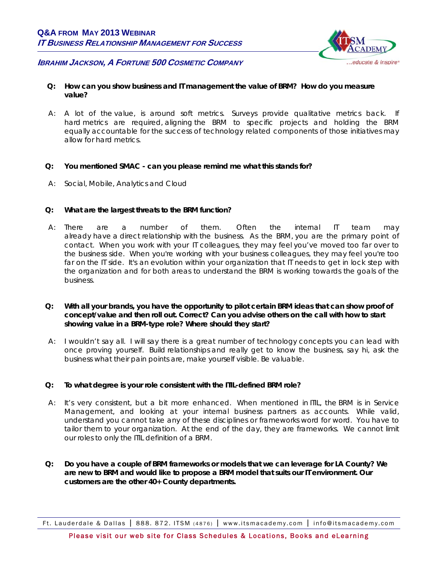

# **IBRAHIM JACKSON, A FORTUNE 500 COSMETIC COMPANY**

- **Q: How can you show business and IT management the value of BRM? How do you measure value?**
- A: A lot of the value, is around soft metrics. Surveys provide qualitative metrics back. If hard metrics are required, aligning the BRM to specific projects and holding the BRM equally accountable for the success of technology related components of those initiatives may allow for hard metrics.
- **Q: You mentioned SMAC can you please remind me what this stands for?**
- A: Social, Mobile, Analytics and Cloud

## **Q: What are the largest threats to the BRM function?**

- A: There are a number of them. Often the internal IT team may already have a direct relationship with the business. As the BRM, you are the primary point of contact. When you work with your IT colleagues, they may feel you've moved too far over to the business side. When you're working with your business colleagues, they may feel you're too far on the IT side. It's an evolution within your organization that IT needs to get in lock step with the organization and for both areas to understand the BRM is working towards the goals of the business.
- **Q: With all your brands, you have the opportunity to pilot certain BRM ideas that can show proof of concept/value and then roll out. Correct? Can you advise others on the call with how to start showing value in a BRM-type role? Where should they start?**
- A: I wouldn't say all. I will say there is a great number of technology concepts you can lead with once proving yourself. Build relationships and really get to know the business, say hi, ask the business what their pain points are, make yourself visible. Be valuable.

## **Q: To what degree is your role consistent with the ITIL-defined BRM role?**

- A:It's very consistent, but a bit more enhanced. When mentioned in ITIL, the BRM is in Service Management, and looking at your internal business partners as accounts. While valid, understand you cannot take any of these disciplines or frameworks word for word. You have to tailor them to your organization. At the end of the day, they are frameworks. We cannot limit our roles to only the ITIL definition of a BRM.
- **Q: Do you have a couple of BRM frameworks or models that we can leverage for LA County? We are new to BRM and would like to propose a BRM model that suits our IT environment. Our customers are the other 40+ County departments.**

Ft. Lauderdale & Dallas | 888. 872. ITSM (4876) | www.itsmacademy.com | info@itsmacademy.com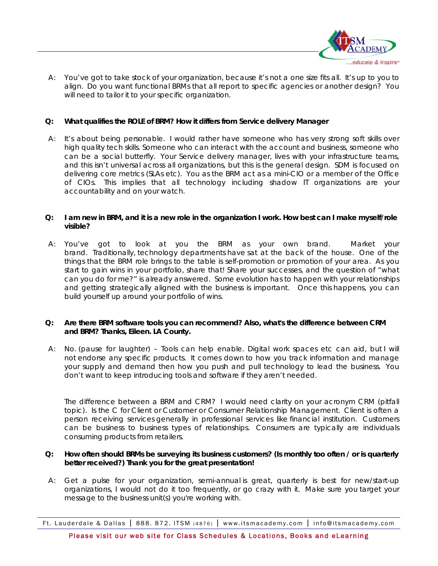

A:You've got to take stock of your organization, because it's not a one size fits all. It's up to you to align. Do you want functional BRMs that all report to specific agencies or another design? You will need to tailor it to your specific organization.

## **Q: What qualifies the ROLE of BRM? How it differs from Service delivery Manager**

A: It's about being personable. I would rather have someone who has very strong soft skills over high quality tech skills. Someone who can interact with the account and business, someone who can be a social butterfly. Your Service delivery manager, lives with your infrastructure teams, and this isn't universal across all organizations, but this is the general design. SDM is focused on delivering core metrics (SLAs etc). You as the BRM act as a mini-CIO or a member of the Office of CIOs. This implies that all technology including shadow IT organizations are your accountability and on your watch.

## **Q: I am new in BRM, and it is a new role in the organization I work. How best can I make myself/role visible?**

A: You've got to look at you the BRM as your own brand. Market your brand. Traditionally, technology departments have sat at the back of the house. One of the things that the BRM role brings to the table is self-promotion or promotion of your area. As you start to gain wins in your portfolio, share that! Share your successes, and the question of "what can you do for me?" is already answered. Some evolution has to happen with your relationships and getting strategically aligned with the business is important. Once this happens, you can build yourself up around your portfolio of wins.

## **Q: Are there BRM software tools you can recommend? Also, what's the difference between CRM and BRM? Thanks, Eileen. LA County.**

A:No. (pause for laughter) – Tools can help enable. Digital work spaces etc can aid, but I will not endorse any specific products. It comes down to how you track information and manage your supply and demand then how you push and pull technology to lead the business. You don't want to keep introducing tools and software if they aren't needed.

 The difference between a BRM and CRM? I would need clarity on your acronym CRM (pitfall topic). Is the C for Client or Customer or Consumer Relationship Management. Client is often a person receiving services generally in professional services like financial institution. Customers can be business to business types of relationships. Consumers are typically are individuals consuming products from retailers.

# **Q: How often should BRMs be surveying its business customers? (Is monthly too often / or is quarterly better received?) Thank you for the great presentation!**

A:Get a pulse for your organization, semi-annual is great, quarterly is best for new/start-up organizations, I would not do it too frequently, or go crazy with it. Make sure you target your message to the business unit(s) you're working with.

Ft. Lauderdale & Dallas | 888. 872. ITSM (4876) | www.itsmacademy.com | info@itsmacademy.com